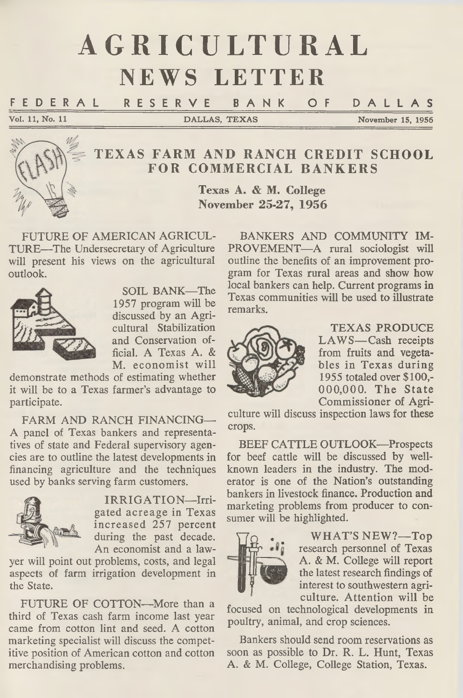# AGRICULTURAL **NEWS LETTER**

F E D E R A L R E S E R V E B A N K OF D A L L A S

**Vol. 11, No. 11 DALLAS, TEXAS November 15, 1956**



# **TEXAS FARM AND RANCH CREDIT SCHOOL FOR COMMERCIAL BANKERS**

**Texas A. & M. College November 25-27, 1956**

FUTURE OF AMERICAN AGRICUL-TURE—The Undersecretary of Agriculture will present his views on the agricultural outlook.



SOIL BANK—The 1957 program will be discussed by an Agricultural Stabilization and Conservation official. A Texas A. & M. economist will

demonstrate methods of estimating whether it will be to a Texas farmer's advantage to participate.

FARM AND RANCH FINANCING— A panel of Texas bankers and representatives of state and Federal supervisory agencies are to outline the latest developments in financing agriculture and the techniques used by banks serving farm customers.



IRRIGATION-Irrigated acreage in Texas increased 257 percent during the past decade. An economist and a law-

yer will point out problems, costs, and legal aspects of farm irrigation development in the State.

FUTURE OF COTTON—More than a third of Texas cash farm income last year came from cotton lint and seed. A cotton marketing specialist will discuss the competitive position of American cotton and cotton merchandising problems.

BANKERS AND COMMUNITY IM-PROVEMENT—A rural sociologist will outline the benefits of an improvement program for Texas rural areas and show how local bankers can help. Current programs in Texas communities will be used to illustrate remarks.



TEXAS PRODUCE LAWS-Cash receipts from fruits and vegetables in Texas during 1955 totaled over \$100,- 000,000. The State Commissioner of Agri-

culture will discuss inspection laws for these crops.

BEEF CATTLE OUTLOOK—Prospects for beef cattle will be discussed by wellknown leaders in the industry. The moderator is one of the Nation's outstanding bankers in livestock finance. Production and marketing problems from producer to consumer will be highlighted.



WHAT'S NEW?-Top research personnel of Texas A. & M. College will report the latest research findings of interest to southwestern agriculture. Attention will be

focused on technological developments in poultry, animal, and crop sciences.

Bankers should send room reservations as soon as possible to Dr. R. L. Hunt, Texas A. & M. College, College Station, Texas.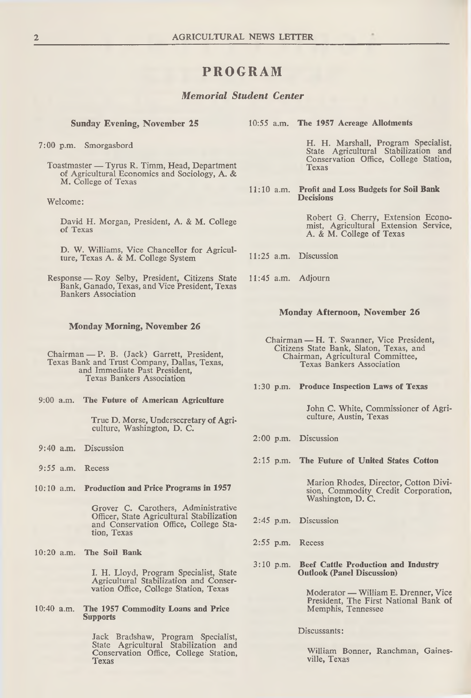## **PROGRAM**

### *Memorial Student Center*

7:00 p.m. Smorgasbord

Toastmaster — Tyrus R. Timm, Head, Department of Agricultural Economics and Sociology, A. & M. College of Texas

Welcome:

David H. Morgan, President, A. & M. College of Texas

D. W. Williams, Vice Chancellor for Agriculture, Texas A. & M. College System

Response — Roy Selby, President, Citizens State Bank, Ganado, Texas, and Vice President, Texas Bankers Association

#### **Monday Morning, November 26**

Chairman — P. B. (Jack) Garrett, President,<br>Texas Bank and Trust Company, Dallas, Texas, and Immediate Past President, Texas Bankers Association

9:00 a.m. **The Future of American Agriculture**

True D. Morse, Undersecretary of Agriculture, Washington, D. C.

- 9:40 a.m. Discussion
- 9:55 a.m. Recess

10:10 a.m. **Production and Price Programs in 1957**

Grover C. Carothers, Administrative Officer, State Agricultural Stabilization and Conservation Office, College Station, Texas

**10:20** a.m. **The Soil Bank**

I. H. Lloyd, Program Specialist, State Agricultural Stabilization and Conservation Office, College Station, Texas

10:40 a.m. **The 1957 Commodity Loans and Price Supports**

> Jack Bradshaw, Program Specialist, State Agricultural Stabilization and Conservation Office, College Station, Texas

**Sunday Evening, November 25** 10:55 a.m. **The 1957 Acreage Allotments**

H. H. Marshall, Program Specialist, State Agricultural Stabilization and Conservation Office, College Station, Texas

11:10 a.m. **Profit and Loss Budgets for Soil Bank Decisions**

> Robert G. Cherry, Extension Economist, Agricultural Extension Service, A. & M. College of Texas

- 11:25 a.m. Discussion
- 11:45 a.m. Adjourn

#### **Monday Afternoon, November 26**

Chairman — H. T. Swanner, Vice President, Citizens State Bank, Slaton, Texas, and Chairman, Agricultural Committee, Texas Bankers Association

**1:30 p.m. Produce Inspection Laws of Texas**

John C. White, Commissioner of Agriculture, Austin, Texas

- 2:00 p.m. Discussion
- **2:15 p.m. The Future of United States Cotton**

Marion Rhodes, Director, Cotton Division, Commodity Credit Corporation, Washington, D. C.

- 2:45 p.m. Discussion
- 2:55 p.m. Recess
- **3:10 p.m. Beef Cattle Production and Industry Outlook (Panel Discussion)**

M oderator — William E. Drenner, Vice President, The First National Bank of Memphis, Tennessee

Discussants:

William Bonner, Ranchman, Gainesville, Texas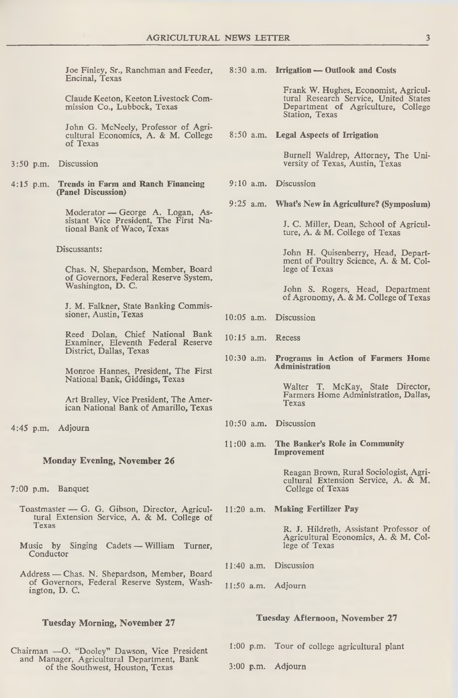Joe Finley, Sr., Ranchman and Feeder, Encinal, Texas

Claude Keeton, Keeton Livestock Commission Co., Lubbock, Texas

John G. McNeely, Professor of Agricultural Economics, A. & M. College of Texas

- 3:50 p.m. Discussion
- **4:15** p.m. **Trends in Farm and Ranch Financing (Panel Discussion)**

M oderator — George A. Logan, Assistant Vice President, The First National Bank of Waco, Texas

Discussants:

Chas. N. Shepardson, Member, Board of Governors, Federal Reserve System, Washington, D. C.

J. M. Falkner, State Banking Commissioner, Austin, Texas

Reed Dolan, Chief National Bank Examiner, Eleventh Federal Reserve District, Dallas, Texas

Monroe Hannes, President, The First National Bank, Giddings, Texas

Art Bralley, Vice President, The American National Bank of Amarillo, Texas

4:45 p.m. Adjourn

#### **Monday Evening, November 26**

7:00 p.m. Banquet

- Toastm aster G. G. Gibson, Director, Agricul- 11:20 a.m. **Making Fertilizer Pay** tural Extension Service, A. & M. College of
- Music by Singing Cadets William Turner, Conductor
- Address Chas. N. Shepardson, Member, Board of Governors, Federal Reserve System, Washington, D. C.

#### **Tuesday Morning, November 27**

Chairman —O. "Dooley" Dawson, Vice President<br>and Manager, Agricultural Department, Bank of the Southwest, Houston, Texas

**8:30** a.m. **Irrigation — Outlook and Costs**

Frank W. Hughes, Economist, Agricultural Research Service, United States Department of Agriculture, College Station, Texas

**8:50** a.m. **Legal Aspects of Irrigation**

Burnell Waldrep, Attorney, The University of Texas, Austin, Texas

- 9:10 a.m. Discussion
- **9:25** a.m. **What's New in Agriculture? (Symposium)**

J. C. Miller, Dean, School of Agriculture, A. & M. College of Texas

John H. Quisenberry, Head, Department of Poultry Science, A. & M. College of Texas

John S. Rogers, Head, Department of Agronomy, A. & M. College of Texas

- 10:05 a.m. Discussion
- 10:15 a.m. Recess
- **10:30** a.m. **Programs in Action of Farmers Home Administration**

Walter T. McKay, State Director, Farmers Home Administration, Dallas, Texas

- 10:50 a.m. Discussion
- 11:00 a.m. **The Banker's Role in Community Improvement**

Reagan Brown, Rural Sociologist, Agricultural Extension Service, A. & M. College of Texas

R. J. Hildreth, Assistant Professor of Agricultural Economics, A. & M. Col-

- 11:40 a.m. Discussion
- 11:50 a.m. Adjourn

#### **Tuesday Afternoon, November 27**

1:00 p.m. Tour of college agricultural plant

3:00 p.m. Adjourn